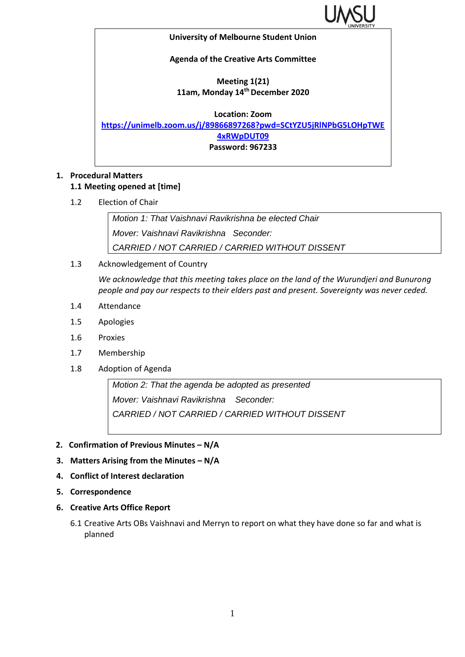

## **University of Melbourne Student Union**

**Agenda of the Creative Arts Committee**

## **Meeting 1(21) 11am, Monday 14th December 2020**

**Location: Zoom [https://unimelb.zoom.us/j/89866897268?pwd=SCtYZU5jRlNPbG5LOHpTWE](https://unimelb.zoom.us/j/89866897268?pwd=SCtYZU5jRlNPbG5LOHpTWE4xRWpDUT09) [4xRWpDUT09](https://unimelb.zoom.us/j/89866897268?pwd=SCtYZU5jRlNPbG5LOHpTWE4xRWpDUT09) Password: 967233**

## **1. Procedural Matters 1.1 Meeting opened at [time]**

1.2 Election of Chair

*Motion 1: That Vaishnavi Ravikrishna be elected Chair Mover: Vaishnavi Ravikrishna Seconder: CARRIED / NOT CARRIED / CARRIED WITHOUT DISSENT*

1.3 Acknowledgement of Country

*We acknowledge that this meeting takes place on the land of the Wurundjeri and Bunurong people and pay our respects to their elders past and present. Sovereignty was never ceded.* 

- 1.4 Attendance
- 1.5 Apologies
- 1.6 Proxies
- 1.7 Membership
- 1.8 Adoption of Agenda

*Motion 2: That the agenda be adopted as presented Mover: Vaishnavi Ravikrishna Seconder: CARRIED / NOT CARRIED / CARRIED WITHOUT DISSENT*

- **2. Confirmation of Previous Minutes – N/A**
- **3. Matters Arising from the Minutes – N/A**
- **4. Conflict of Interest declaration**
- **5. Correspondence**
- **6. Creative Arts Office Report**
	- 6.1 Creative Arts OBs Vaishnavi and Merryn to report on what they have done so far and what is planned